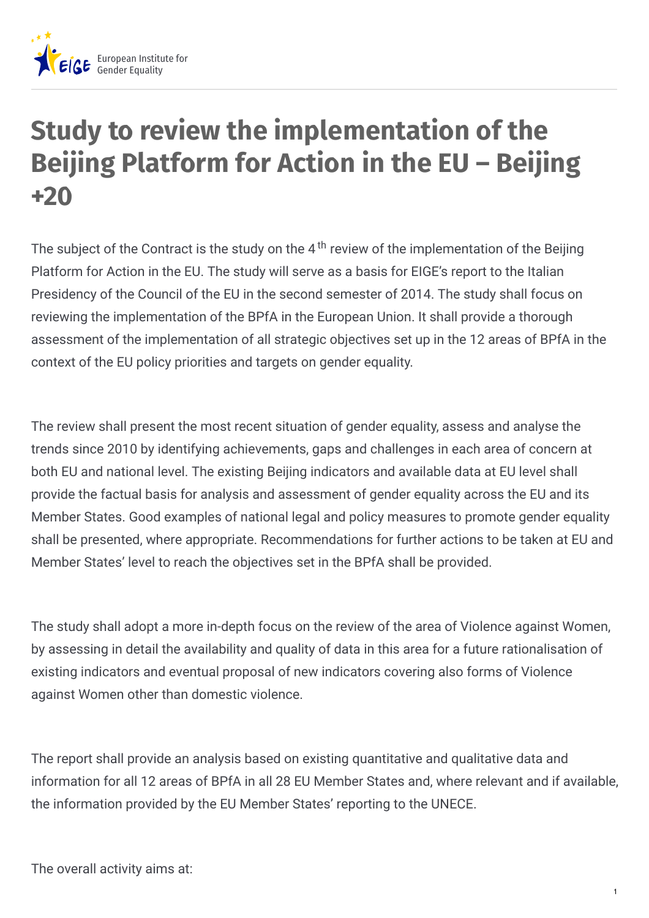

# **Study to review the implementation of the Beijing Platform for Action in the EU – Beijing +20**

The subject of the Contract is the study on the 4<sup>th</sup> review of the implementation of the Beijing Platform for Action in the EU. The study will serve as a basis for EIGE's report to the Italian Presidency of the Council of the EU in the second semester of 2014. The study shall focus on reviewing the implementation of the BPfA in the European Union. It shall provide a thorough assessment of the implementation of all strategic objectives set up in the 12 areas of BPfA in the context of the EU policy priorities and targets on gender equality.

The review shall present the most recent situation of gender equality, assess and analyse the trends since 2010 by identifying achievements, gaps and challenges in each area of concern at both EU and national level. The existing Beijing indicators and available data at EU level shall provide the factual basis for analysis and assessment of gender equality across the EU and its Member States. Good examples of national legal and policy measures to promote gender equality shall be presented, where appropriate. Recommendations for further actions to be taken at EU and Member States' level to reach the objectives set in the BPfA shall be provided.

The study shall adopt a more in-depth focus on the review of the area of Violence against Women, by assessing in detail the availability and quality of data in this area for a future rationalisation of existing indicators and eventual proposal of new indicators covering also forms of Violence against Women other than domestic violence.

The report shall provide an analysis based on existing quantitative and qualitative data and information for all 12 areas of BPfA in all 28 EU Member States and, where relevant and if available, the information provided by the EU Member States' reporting to the UNECE.

The overall activity aims at: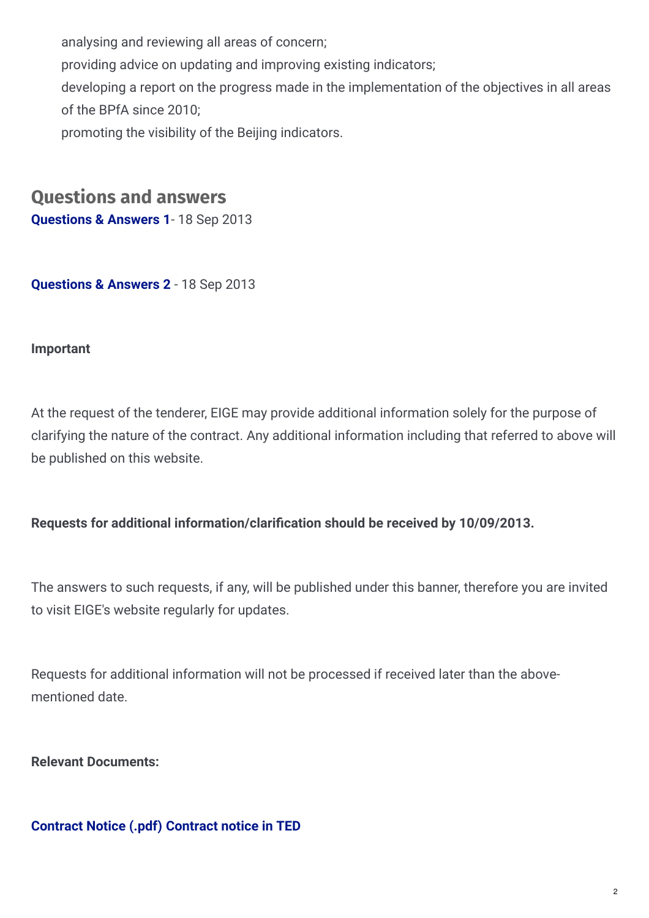analysing and reviewing all areas of concern; providing advice on updating and improving existing indicators; developing a report on the progress made in the implementation of the objectives in all areas of the BPfA since 2010; promoting the visibility of the Beijing indicators.

### **Questions and answers**

**[Questions](http://www.eige.europa.eu/sites/default/files/procurement/EIGE-2013-OPER-13-Questions-Answers-Nr1.pdf) & Answers 1**- 18 Sep 2013

**[Questions](http://www.eige.europa.eu/sites/default/files/procurement/EIGE-2013-OPER-13-Questions-Answers-Nr2.pdf.pdf) & Answers 2** - 18 Sep 2013

#### **Important**

At the request of the tenderer, EIGE may provide additional information solely for the purpose of clarifying the nature of the contract. Any additional information including that referred to above will be published on this website.

#### **Requests for additional information/clarification should be received by 10/09/2013.**

The answers to such requests, if any, will be published under this banner, therefore you are invited to visit EIGE's website regularly for updates.

Requests for additional information will not be processed if received later than the abovementioned date.

**Relevant Documents:**

#### **[Contract](http://www.eige.europa.eu/sites/default/files/2013-OJS145-251135-en.pdf) Notice (.pdf) [Contract](http://www.ted.europa.eu/udl?uri=TED:NOTICE:251135-2013:TEXT:EN:HTML&src=0) notice in TED**